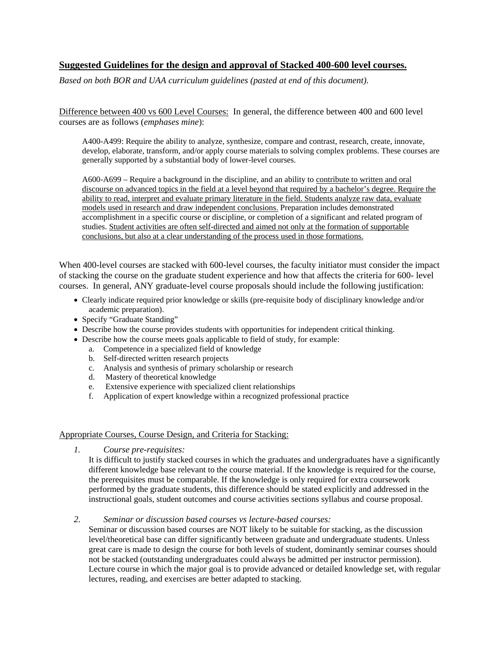## **Suggested Guidelines for the design and approval of Stacked 400-600 level courses.**

*Based on both BOR and UAA curriculum guidelines (pasted at end of this document).* 

Difference between 400 vs 600 Level Courses: In general, the difference between 400 and 600 level courses are as follows (*emphases mine*):

A400-A499: Require the ability to analyze, synthesize, compare and contrast, research, create, innovate, develop, elaborate, transform, and/or apply course materials to solving complex problems. These courses are generally supported by a substantial body of lower-level courses.

A600-A699 – Require a background in the discipline, and an ability to contribute to written and oral discourse on advanced topics in the field at a level beyond that required by a bachelor's degree. Require the ability to read, interpret and evaluate primary literature in the field. Students analyze raw data, evaluate models used in research and draw independent conclusions. Preparation includes demonstrated accomplishment in a specific course or discipline, or completion of a significant and related program of studies. Student activities are often self-directed and aimed not only at the formation of supportable conclusions, but also at a clear understanding of the process used in those formations.

When 400-level courses are stacked with 600-level courses, the faculty initiator must consider the impact of stacking the course on the graduate student experience and how that affects the criteria for 600- level courses. In general, ANY graduate-level course proposals should include the following justification:

- Clearly indicate required prior knowledge or skills (pre-requisite body of disciplinary knowledge and/or academic preparation).
- Specify "Graduate Standing"
- Describe how the course provides students with opportunities for independent critical thinking.
- Describe how the course meets goals applicable to field of study, for example:
	- a. Competence in a specialized field of knowledge
	- b. Self-directed written research projects
	- c. Analysis and synthesis of primary scholarship or research
	- d. Mastery of theoretical knowledge
	- e. Extensive experience with specialized client relationships
	- f. Application of expert knowledge within a recognized professional practice

### Appropriate Courses, Course Design, and Criteria for Stacking:

*1. Course pre-requisites:*

It is difficult to justify stacked courses in which the graduates and undergraduates have a significantly different knowledge base relevant to the course material. If the knowledge is required for the course, the prerequisites must be comparable. If the knowledge is only required for extra coursework performed by the graduate students, this difference should be stated explicitly and addressed in the instructional goals, student outcomes and course activities sections syllabus and course proposal.

*2. Seminar or discussion based courses vs lecture-based courses:* 

Seminar or discussion based courses are NOT likely to be suitable for stacking, as the discussion level/theoretical base can differ significantly between graduate and undergraduate students. Unless great care is made to design the course for both levels of student, dominantly seminar courses should not be stacked (outstanding undergraduates could always be admitted per instructor permission). Lecture course in which the major goal is to provide advanced or detailed knowledge set, with regular lectures, reading, and exercises are better adapted to stacking.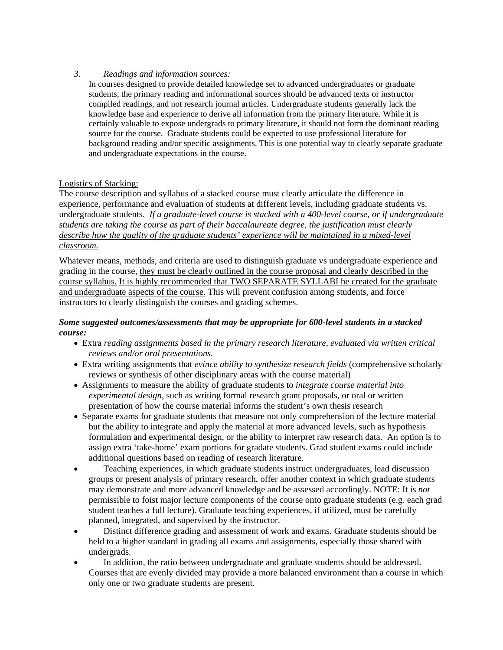### *3. Readings and information sources:*

In courses designed to provide detailed knowledge set to advanced undergraduates or graduate students, the primary reading and informational sources should be advanced texts or instructor compiled readings, and not research journal articles. Undergraduate students generally lack the knowledge base and experience to derive all information from the primary literature. While it is certainly valuable to expose undergrads to primary literature, it should not form the dominant reading source for the course. Graduate students could be expected to use professional literature for background reading and/or specific assignments. This is one potential way to clearly separate graduate and undergraduate expectations in the course.

## Logistics of Stacking:

The course description and syllabus of a stacked course must clearly articulate the difference in experience, performance and evaluation of students at different levels, including graduate students vs. undergraduate students. *If a graduate-level course is stacked with a 400-level course, or if undergraduate students are taking the course as part of their baccalaureate degree, the justification must clearly describe how the quality of the graduate students' experience will be maintained in a mixed-level classroom.*

Whatever means, methods, and criteria are used to distinguish graduate vs undergraduate experience and grading in the course, they must be clearly outlined in the course proposal and clearly described in the course syllabus. It is highly recommended that TWO SEPARATE SYLLABI be created for the graduate and undergraduate aspects of the course. This will prevent confusion among students, and force instructors to clearly distinguish the courses and grading schemes.

### *Some suggested outcomes/assessments that may be appropriate for 600-level students in a stacked course:*

- Extra *reading assignments based in the primary research literature, evaluated via written critical reviews and/or oral presentations.*
- Extra writing assignments that *evince ability to synthesize research fields* (comprehensive scholarly reviews or synthesis of other disciplinary areas with the course material)
- Assignments to measure the ability of graduate students to *integrate course material into experimental design,* such as writing formal research grant proposals, or oral or written presentation of how the course material informs the student's own thesis research
- Separate exams for graduate students that measure not only comprehension of the lecture material but the ability to integrate and apply the material at more advanced levels, such as hypothesis formulation and experimental design, or the ability to interpret raw research data. An option is to assign extra 'take-home' exam portions for gradate students. Grad student exams could include additional questions based on reading of research literature.
- Teaching experiences, in which graduate students instruct undergraduates, lead discussion groups or present analysis of primary research, offer another context in which graduate students may demonstrate and more advanced knowledge and be assessed accordingly. NOTE: It is *not* permissible to foist major lecture components of the course onto graduate students (e.g. each grad student teaches a full lecture). Graduate teaching experiences, if utilized, must be carefully planned, integrated, and supervised by the instructor.
- Distinct difference grading and assessment of work and exams. Graduate students should be held to a higher standard in grading all exams and assignments, especially those shared with undergrads.
- In addition, the ratio between undergraduate and graduate students should be addressed. Courses that are evenly divided may provide a more balanced environment than a course in which only one or two graduate students are present.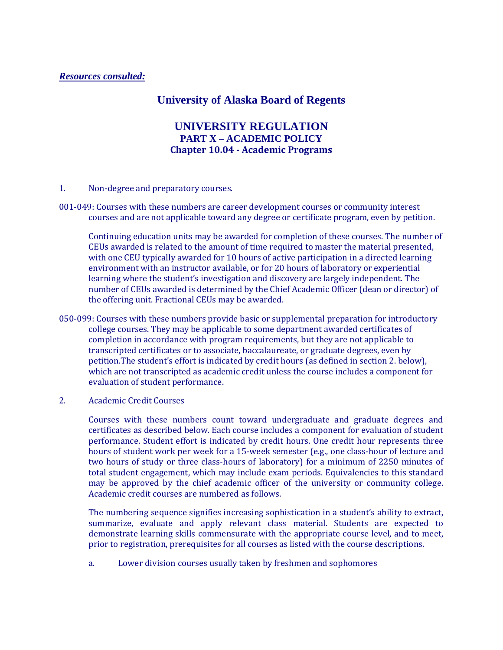## *Resources consulted:*

## **University of Alaska Board of Regents**

## **UNIVERSITY REGULATION PART X – ACADEMIC POLICY Chapter 10.04 Academic Programs**

- 1. Non-degree and preparatory courses.
- 001‐049: Courses with these numbers are career development courses or community interest courses and are not applicable toward any degree or certificate program, even by petition.

Continuing education units may be awarded for completion of these courses. The number of CEUs awarded is related to the amount of time required to master the material presented, with one CEU typically awarded for 10 hours of active participation in a directed learning environment with an instructor available, or for 20 hours of laboratory or experiential learning where the student's investigation and discovery are largely independent. The number of CEUs awarded is determined by the Chief Academic Officer (dean or director) of the offering unit. Fractional CEUs may be awarded.

- 050-099: Courses with these numbers provide basic or supplemental preparation for introductory college courses. They may be applicable to some department awarded certificates of completion in accordance with program requirements, but they are not applicable to transcripted certificates or to associate, baccalaureate, or graduate degrees, even by petition.The student's effort is indicated by credit hours (as defined in section 2. below), which are not transcripted as academic credit unless the course includes a component for evaluation of student performance.
- 2. Academic Credit Courses

Courses with these numbers count toward undergraduate and graduate degrees and certificates as described below. Each course includes a component for evaluation of student performance. Student effort is indicated by credit hours. One credit hour represents three hours of student work per week for a 15-week semester (e.g., one class-hour of lecture and two hours of study or three class‐hours of laboratory) for a minimum of 2250 minutes of total student engagement, which may include exam periods. Equivalencies to this standard may be approved by the chief academic officer of the university or community college. Academic credit courses are numbered as follows.

The numbering sequence signifies increasing sophistication in a student's ability to extract, summarize, evaluate and apply relevant class material. Students are expected to demonstrate learning skills commensurate with the appropriate course level, and to meet, prior to registration, prerequisites for all courses as listed with the course descriptions.

a. Lower division courses usually taken by freshmen and sophomores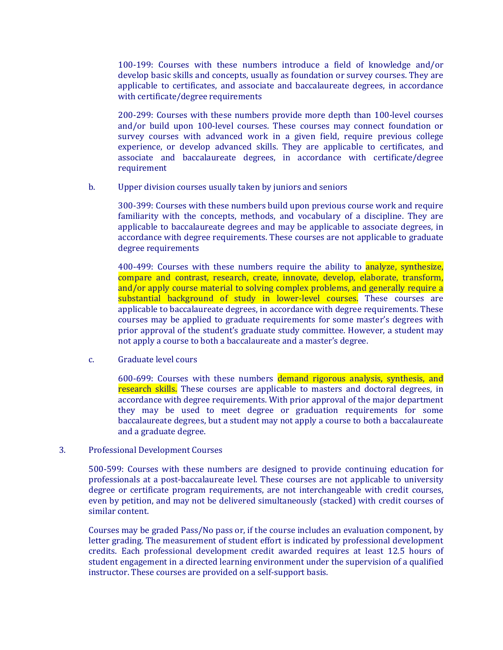100‐199: Courses with these numbers introduce a field of knowledge and/or develop basic skills and concepts, usually as foundation or survey courses. They are applicable to certificates, and associate and baccalaureate degrees, in accordance with certificate/degree requirements

200‐299: Courses with these numbers provide more depth than 100‐level courses and/or build upon 100-level courses. These courses may connect foundation or survey courses with advanced work in a given field, require previous college experience, or develop advanced skills. They are applicable to certificates, and associate and baccalaureate degrees, in accordance with certificate/degree requirement

b. Upper division courses usually taken by juniors and seniors

300‐399: Courses with these numbers build upon previous course work and require familiarity with the concepts, methods, and vocabulary of a discipline. They are applicable to baccalaureate degrees and may be applicable to associate degrees, in accordance with degree requirements. These courses are not applicable to graduate degree requirements

400-499: Courses with these numbers require the ability to **analyze**, synthesize, compare and contrast, research, create, innovate, develop, elaborate, transform, and/or apply course material to solving complex problems, and generally require a substantial background of study in lower-level courses. These courses are applicable to baccalaureate degrees, in accordance with degree requirements. These courses may be applied to graduate requirements for some master's degrees with prior approval of the student's graduate study committee. However, a student may not apply a course to both a baccalaureate and a master's degree.

c. Graduate level cours

600-699: Courses with these numbers demand rigorous analysis, synthesis, and research skills. These courses are applicable to masters and doctoral degrees, in accordance with degree requirements. With prior approval of the major department they may be used to meet degree or graduation requirements for some baccalaureate degrees, but a student may not apply a course to both a baccalaureate and a graduate degree.

3. Professional Development Courses

500‐599: Courses with these numbers are designed to provide continuing education for professionals at a post‐baccalaureate level. These courses are not applicable to university degree or certificate program requirements, are not interchangeable with credit courses, even by petition, and may not be delivered simultaneously (stacked) with credit courses of similar content.

Courses may be graded Pass/No pass or, if the course includes an evaluation component, by letter grading. The measurement of student effort is indicated by professional development credits. Each professional development credit awarded requires at least 12.5 hours of student engagement in a directed learning environment under the supervision of a qualified instructor. These courses are provided on a self‐support basis.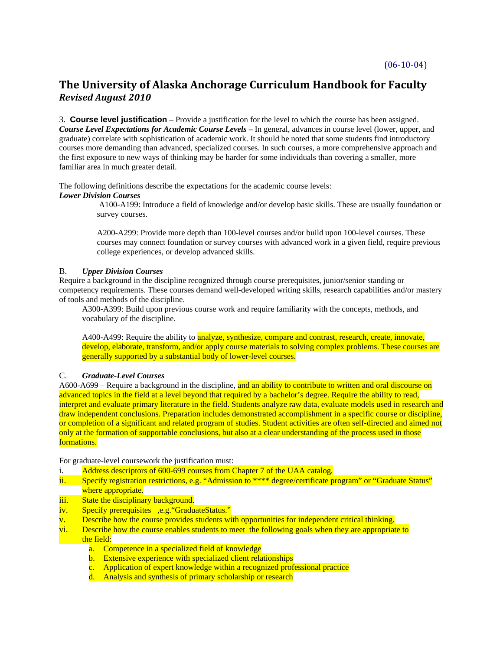# **The University of Alaska Anchorage Curriculum Handbook for Faculty** *Revised August 2010*

3. **Course level justification** – Provide a justification for the level to which the course has been assigned. *Course Level Expectations for Academic Course Levels* – In general, advances in course level (lower, upper, and graduate) correlate with sophistication of academic work. It should be noted that some students find introductory courses more demanding than advanced, specialized courses. In such courses, a more comprehensive approach and the first exposure to new ways of thinking may be harder for some individuals than covering a smaller, more familiar area in much greater detail.

The following definitions describe the expectations for the academic course levels: *Lower Division Courses*

> A100-A199: Introduce a field of knowledge and/or develop basic skills. These are usually foundation or survey courses.

> A200-A299: Provide more depth than 100-level courses and/or build upon 100-level courses. These courses may connect foundation or survey courses with advanced work in a given field, require previous college experiences, or develop advanced skills.

### B. *Upper Division Courses*

Require a background in the discipline recognized through course prerequisites, junior/senior standing or competency requirements. These courses demand well-developed writing skills, research capabilities and/or mastery of tools and methods of the discipline.

A300-A399: Build upon previous course work and require familiarity with the concepts, methods, and vocabulary of the discipline.

A400-A499: Require the ability to analyze, synthesize, compare and contrast, research, create, innovate, develop, elaborate, transform, and/or apply course materials to solving complex problems. These courses are generally supported by a substantial body of lower-level courses.

### C. *Graduate-Level Courses*

A600-A699 – Require a background in the discipline, and an ability to contribute to written and oral discourse on advanced topics in the field at a level beyond that required by a bachelor's degree. Require the ability to read, interpret and evaluate primary literature in the field. Students analyze raw data, evaluate models used in research and draw independent conclusions. Preparation includes demonstrated accomplishment in a specific course or discipline, or completion of a significant and related program of studies. Student activities are often self-directed and aimed not only at the formation of supportable conclusions, but also at a clear understanding of the process used in those formations.

For graduate-level coursework the justification must:

- i. Address descriptors of 600-699 courses from Chapter 7 of the UAA catalog*.*
- ii. Specify registration restrictions, e.g. "Admission to \*\*\*\* degree/certificate program" or "Graduate Status" where appropriate.
- iii. State the disciplinary background.
- iv. Specify prerequisites ,e.g. "GraduateStatus."
- v. Describe how the course provides students with opportunities for independent critical thinking.
- vi. Describe how the course enables students to meet the following goals when they are appropriate to the field:
	- a. Competence in a specialized field of knowledge
	- b. Extensive experience with specialized client relationships
	- c. Application of expert knowledge within a recognized professional practice
	- d. Analysis and synthesis of primary scholarship or research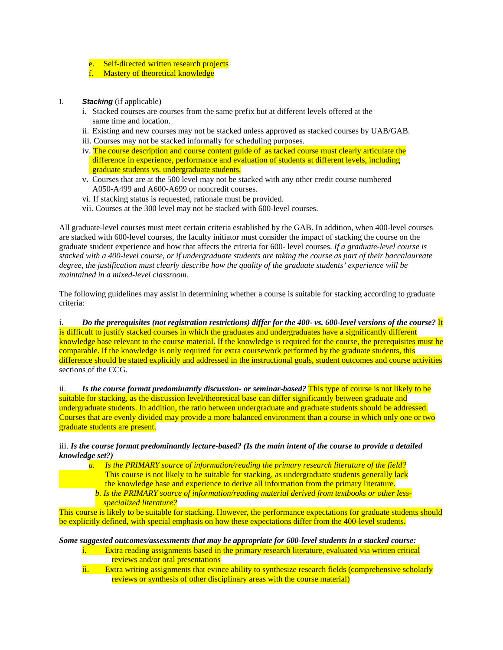- e. Self-directed written research projects
- f. Mastery of theoretical knowledge
- I. *Stacking* (if applicable)
	- i. Stacked courses are courses from the same prefix but at different levels offered at the same time and location.
	- ii. Existing and new courses may not be stacked unless approved as stacked courses by UAB/GAB.
	- iii. Courses may not be stacked informally for scheduling purposes.
	- iv. The course description and course content guide of as tacked course must clearly articulate the difference in experience, performance and evaluation of students at different levels, including graduate students vs. undergraduate students.
	- v. Courses that are at the 500 level may not be stacked with any other credit course numbered A050-A499 and A600-A699 or noncredit courses.
	- vi. If stacking status is requested, rationale must be provided.
	- vii. Courses at the 300 level may not be stacked with 600-level courses.

All graduate-level courses must meet certain criteria established by the GAB. In addition, when 400-level courses are stacked with 600-level courses, the faculty initiator must consider the impact of stacking the course on the graduate student experience and how that affects the criteria for 600- level courses. *If a graduate-level course is stacked with a 400-level course, or if undergraduate students are taking the course as part of their baccalaureate degree, the justification must clearly describe how the quality of the graduate students' experience will be maintained in a mixed-level classroom.* 

The following guidelines may assist in determining whether a course is suitable for stacking according to graduate criteria:

i. *Do the prerequisites (not registration restrictions) differ for the 400- vs. 600-level versions of the course?* It is difficult to justify stacked courses in which the graduates and undergraduates have a significantly different knowledge base relevant to the course material. If the knowledge is required for the course, the prerequisites must be comparable. If the knowledge is only required for extra coursework performed by the graduate students, this difference should be stated explicitly and addressed in the instructional goals, student outcomes and course activities sections of the CCG.

ii. *Is the course format predominantly discussion- or seminar-based?* This type of course is not likely to be suitable for stacking, as the discussion level/theoretical base can differ significantly between graduate and undergraduate students. In addition, the ratio between undergraduate and graduate students should be addressed. Courses that are evenly divided may provide a more balanced environment than a course in which only one or two graduate students are present.

iii. *Is the course format predominantly lecture-based? (Is the main intent of the course to provide a detailed knowledge set?)* 

*a. Is the PRIMARY source of information/reading the primary research literature of the field?*  This course is not likely to be suitable for stacking, as undergraduate students generally lack the knowledge base and experience to derive all information from the primary literature. *b. Is the PRIMARY source of information/reading material derived from textbooks or other less specialized literature?* 

This course is likely to be suitable for stacking. However, the performance expectations for graduate students should be explicitly defined, with special emphasis on how these expectations differ from the 400-level students.

### *Some suggested outcomes/assessments that may be appropriate for 600-level students in a stacked course:*

- i. Extra reading assignments based in the primary research literature, evaluated via written critical reviews and/or oral presentations
- ii. Extra writing assignments that evince ability to synthesize research fields (comprehensive scholarly reviews or synthesis of other disciplinary areas with the course material)